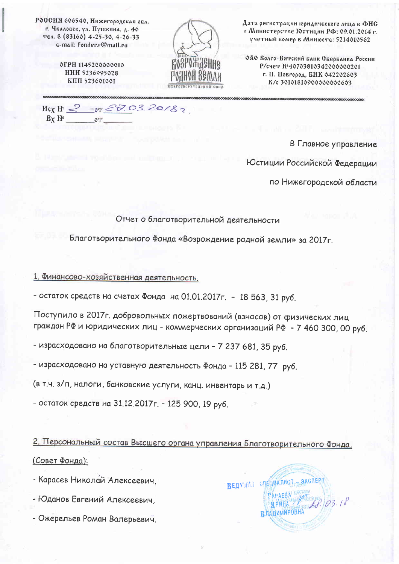РОССИЯ 606540, Нижегородская обл. г. Чкаловск, ул. Пушкина, д. 46 тел. 8 (83160) 4-25-30, 4-26-33 e-mail: fondvrz@mail.ru

> **ОГРН 1145200000010 ИНН 5236995028 КПП 523601001**



Дата регистрации юридического лица в ФНС и Министерстве Юстиции РФ: 09.01.2014 г. үчетный номер в Минюсте: 5214010562

ОДО Волго-Вятский банк Сбербанка России Р/счет №40703810342000000201 г. Н. Новгород, БИК 042202603 K/c 301018109000000000603

 $or 22.03.20187$ Her  $\mathbb{H}^{\circ} \stackrel{\circ}{\sim}$  $Bx$   $H^2$  $O<sub>T</sub>$ 

В Главное управление

Юстиции Российской Федерации

по Нижегородской области

Отчет о благотворительной деятельности

Благотворительного Фонда «Возрождение родной земли» за 2017г.

1. Финансово-хозяйственная деятельность.

- остаток средств на счетах Фонда на 01.01.2017г. - 18 563, 31 руб.

Поступило в 2017г. добровольных пожертвований (взносов) от физических лиц граждан РФ и юридических лиц - коммерческих организаций РФ - 7 460 300, 00 руб.

- израсходовано на благотворительные цели - 7 237 681, 35 руб.

- израсходовано на уставную деятельность Фонда - 115 281, 77 руб.

(в т.ч. з/п, налоги, банковские услуги, канц. инвентарь и т.д.)

- остаток средств на 31.12.2017г. - 125 900, 19 руб.

2. Персональный состав Высшего органа управления Благотворительного Фонда, (Совет Фонда):

- Карасев Николай Алексеевич,

- Юданов Евгений Алексеевич,

- Ожерельев Роман Валерьевич.

Ведущил следиялисть эксперт TAPAEBA Her RPMHA ВЛАДИМИРОВНА